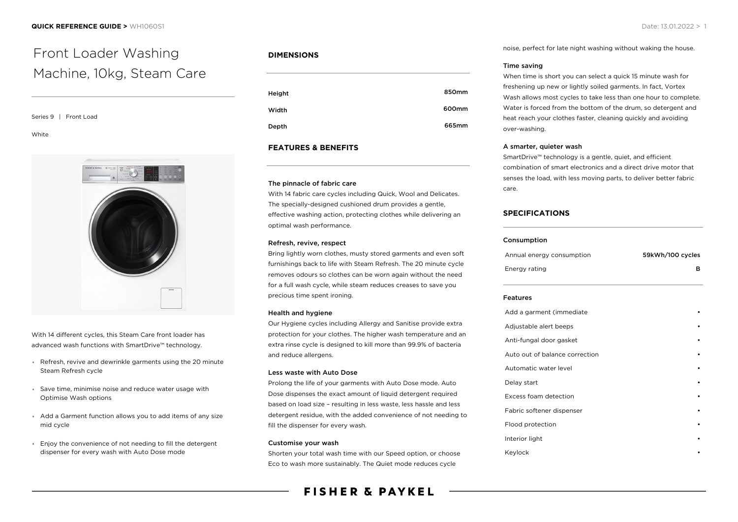# Front Loader Washing Machine, 10kg, Steam Care

## Series 9 | Front Load

#### White



With 14 different cycles, this Steam Care front loader has advanced wash functions with SmartDrive™ technology.

- Refresh, revive and dewrinkle garments using the 20 minute Steam Refresh cycle
- Save time, minimise noise and reduce water usage with Optimise Wash options
- Add a Garment function allows you to add items of any size mid cycle
- Enjoy the convenience of not needing to fill the detergent dispenser for every wash with Auto Dose mode

# **DIMENSIONS**

| Height | 850mm |
|--------|-------|
| Width  | 600mm |
| Depth  | 665mm |

# **FEATURES & BENEFITS**

#### The pinnacle of fabric care

With 14 fabric care cycles including Quick, Wool and Delicates. The specially-designed cushioned drum provides a gentle, effective washing action, protecting clothes while delivering an optimal wash performance.

#### Refresh, revive, respect

Bring lightly worn clothes, musty stored garments and even soft furnishings back to life with Steam Refresh. The 20 minute cycle removes odours so clothes can be worn again without the need for a full wash cycle, while steam reduces creases to save you precious time spent ironing.

## Health and hygiene

Our Hygiene cycles including Allergy and Sanitise provide extra protection for your clothes. The higher wash temperature and an extra rinse cycle is designed to kill more than 99.9% of bacteria and reduce allergens.

#### Less waste with Auto Dose

Prolong the life of your garments with Auto Dose mode. Auto Dose dispenses the exact amount of liquid detergent required based on load size – resulting in less waste, less hassle and less detergent residue, with the added convenience of not needing to fill the dispenser for every wash.

#### Customise your wash

Shorten your total wash time with our Speed option, or choose Eco to wash more sustainably. The Quiet mode reduces cycle

# **FISHER & PAYKEL**

noise, perfect for late night washing without waking the house.

#### Time saving

When time is short you can select a quick 15 minute wash for freshening up new or lightly soiled garments. In fact, Vortex Wash allows most cycles to take less than one hour to complete. Water is forced from the bottom of the drum, so detergent and heat reach your clothes faster, cleaning quickly and avoiding over-washing.

#### A smarter, quieter wash

SmartDrive™ technology is a gentle, quiet, and efficient combination of smart electronics and a direct drive motor that senses the load, with less moving parts, to deliver better fabric care.

# **SPECIFICATIONS**

#### Consumption

| Annual energy consumption | 59kWh/100 cycles |
|---------------------------|------------------|
| Energy rating             |                  |

#### Features

| Add a garment (immediate       |  |
|--------------------------------|--|
| Adjustable alert beeps         |  |
| Anti-fungal door gasket        |  |
| Auto out of balance correction |  |
| Automatic water level          |  |
| Delay start                    |  |
| Excess foam detection          |  |
| Fabric softener dispenser      |  |
| Flood protection               |  |
| Interior light                 |  |
| Keylock                        |  |